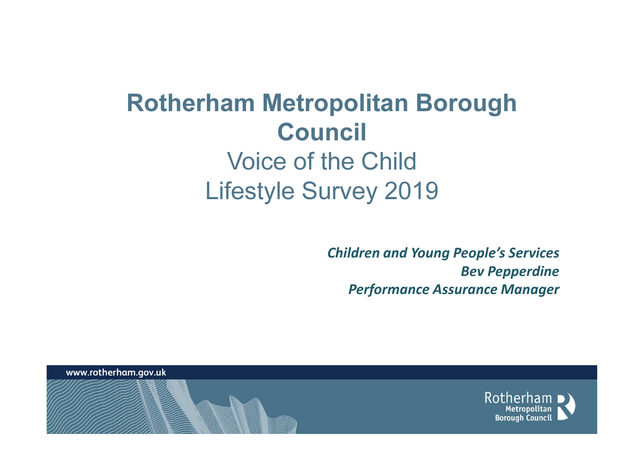Children and Young People's ServicesBev PepperdinePerformance Assurance Manager

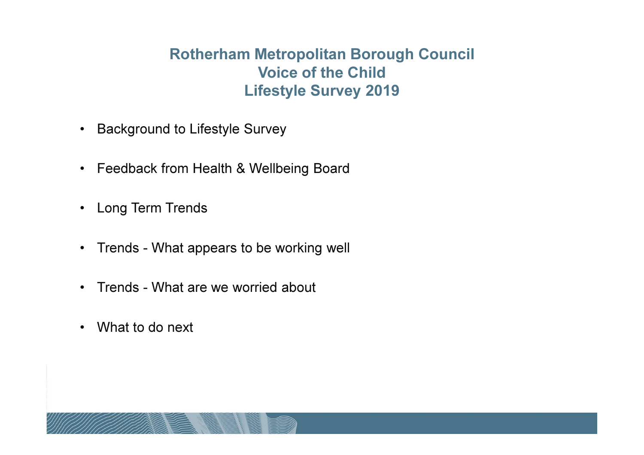- Background to Lifestyle Survey
- Feedback from Health & Wellbeing Board
- Long Term Trends
- Trends What appears to be working well
- Trends What are we worried about
- What to do next

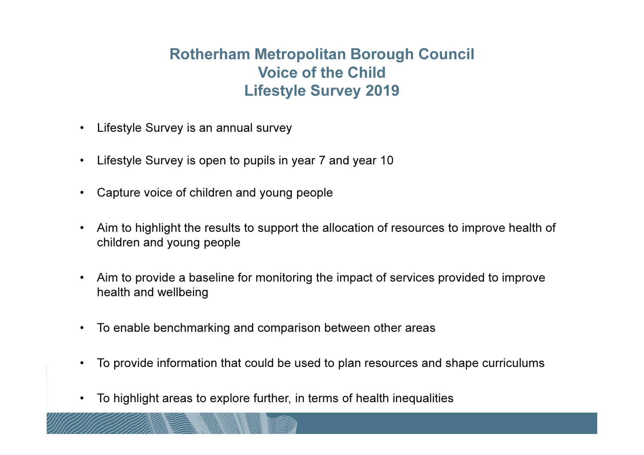- Lifestyle Survey is an annual survey
- $\bullet$ Lifestyle Survey is open to pupils in year 7 and year 10
- Capture voice of children and young people
- Aim to highlight the results to support the allocation of resources to improve health of children and young people
- Aim to provide a baseline for monitoring the impact of services provided to improve health and wellbeing
- $\bullet$ To enable benchmarking and comparison between other areas
- $\bullet$ To provide information that could be used to plan resources and shape curriculums
- To highlight areas to explore further, in terms of health inequalities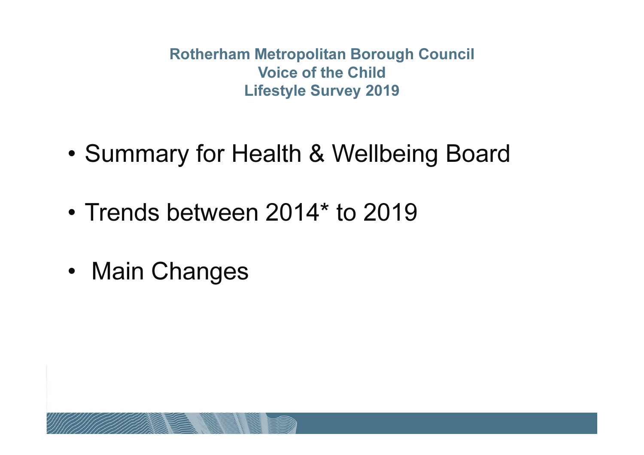- •Summary for Health & Wellbeing Board
- Trends between 2014\* to 2019
- •Main Changes

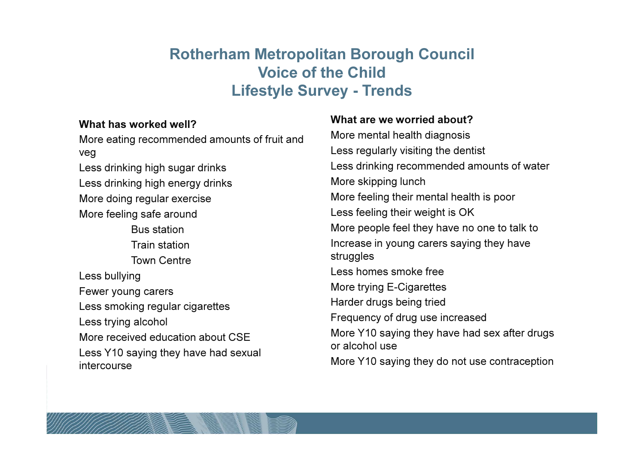#### What has worked well?

 More eating recommended amounts of fruit and veg Less drinking high sugar drinksLess drinking high energy drinksMore doing regular exerciseMore feeling safe aroundBus station Train station Town CentreLess bullyingFewer young carers Less smoking regular cigarettesLess trying alcoholMore received education about CSE Less Y10 saying they have had sexual intercourse

#### What are we worried about?

 More mental health diagnosisLess regularly visiting the dentistLess drinking recommended amounts of waterMore skipping lunchMore feeling their mental health is poorLess feeling their weight is OK More people feel they have no one to talk toIncrease in young carers saying they have struggles Less homes smoke freeMore trying E-CigarettesHarder drugs being triedFrequency of drug use increasedMore Y10 saying they have had sex after drugs or alcohol useMore Y10 saying they do not use contraception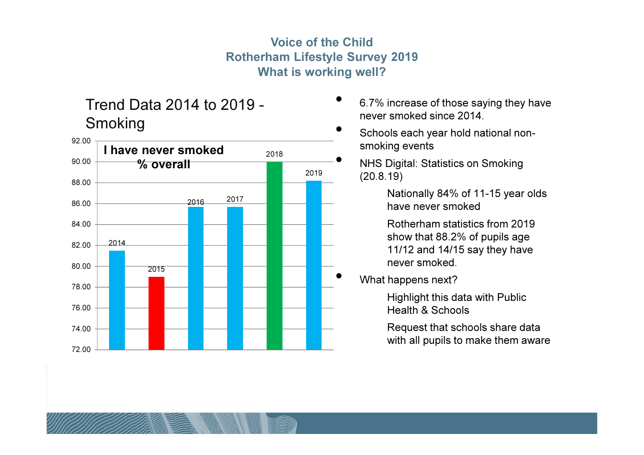#### Voice of the Child Rotherham Lifestyle Survey 2019What is working well?

## Trend Data 2014 to 2019 -Smoking



- • 6.7% increase of those saying they have never smoked since 2014.
- • Schools each year hold national nonsmoking events
	- NHS Digital: Statistics on Smoking (20.8.19)

Nationally 84% of 11-15 year olds have never smoked

Rotherham statistics from 2019 show that 88.2% of pupils age 11/12 and 14/15 say they have never smoked.

What happens next?

Highlight this data with Public Health & Schools

Request that schools share data with all pupils to make them aware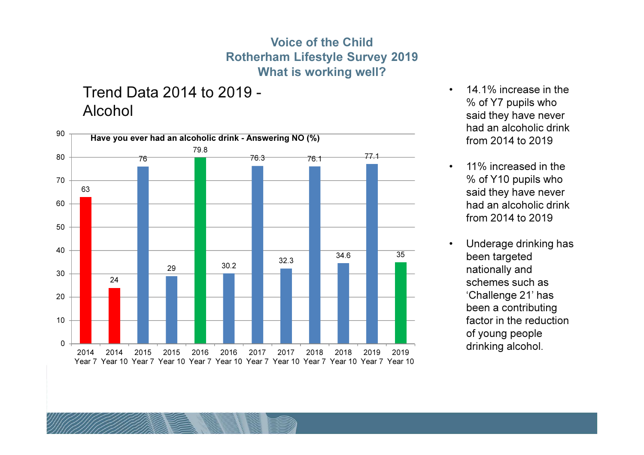#### Voice of the Child Rotherham Lifestyle Survey 2019What is working well?

Trend Data 2014 to 2019 -Alcohol



- $\bullet$  14.1% increase in the % of Y7 pupils who said they have never had an alcoholic drink from 2014 to 2019
- • 11% increased in the % of Y10 pupils who said they have never had an alcoholic drink from 2014 to 2019
- • Underage drinking has been targeted nationally and schemes such as 'Challenge 21' has been a contributing factor in the reduction of young people drinking alcohol.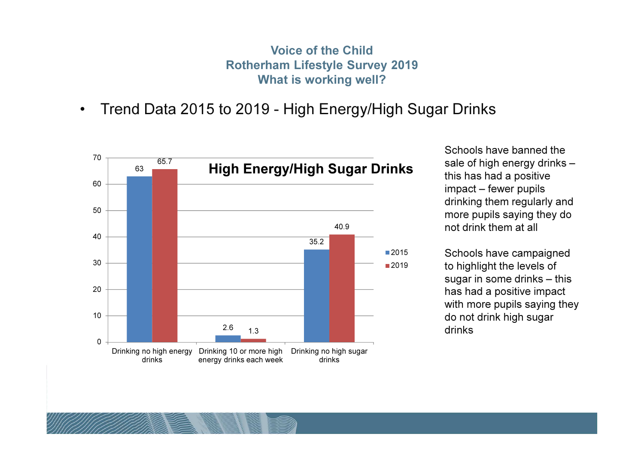Voice of the Child Rotherham Lifestyle Survey 2019What is working well?

#### •Trend Data 2015 to 2019 - High Energy/High Sugar Drinks



Schools have banned the sale of high energy drinks –this has had a positive impact – fewer pupils drinking them regularly and more pupils saying they do not drink them at all

Schools have campaigned to highlight the levels of sugar in some drinks – this has had a positive impact with more pupils saying they do not drink high sugar drinks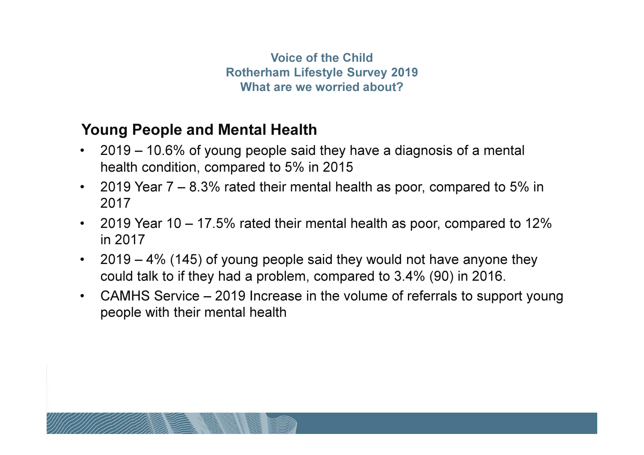## Young People and Mental Health

- 2019 10.6% of young people said they have a diagnosis of a mental health condition, compared to 5% in 2015
- 2019 Year 7 8.3% rated their mental health as poor, compared to 5% in 2017
- 2019 Year 10 17.5% rated their mental health as poor, compared to 12% in 2017
- $\bullet$  2019 – 4% (145) of young people said they would not have anyone they could talk to if they had a problem, compared to 3.4% (90) in 2016.
- $\bullet$  CAMHS Service – 2019 Increase in the volume of referrals to support young people with their mental health

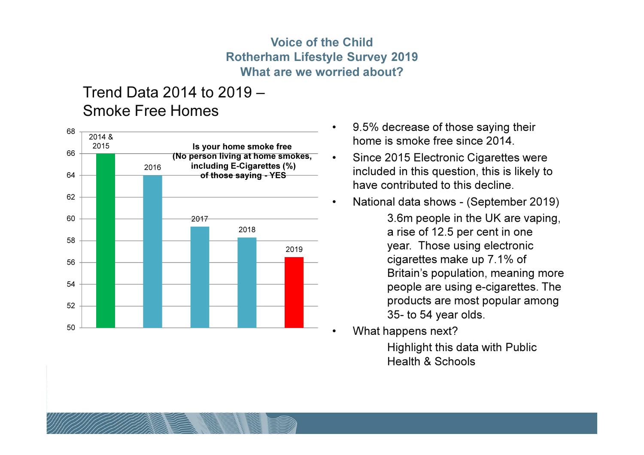### Trend Data 2014 to 2019 –Smoke Free Homes



- • 9.5% decrease of those saying their home is smoke free since 2014.
- • Since 2015 Electronic Cigarettes were included in this question, this is likely to have contributed to this decline.
- • National data shows - (September 2019)
	- 3.6m people in the UK are vaping, a rise of 12.5 per cent in one year. Those using electronic cigarettes make up 7.1% of Britain's population, meaning more people are using e-cigarettes. The products are most popular among 35- to 54 year olds.
- •What happens next?

 Highlight this data with Public Health & Schools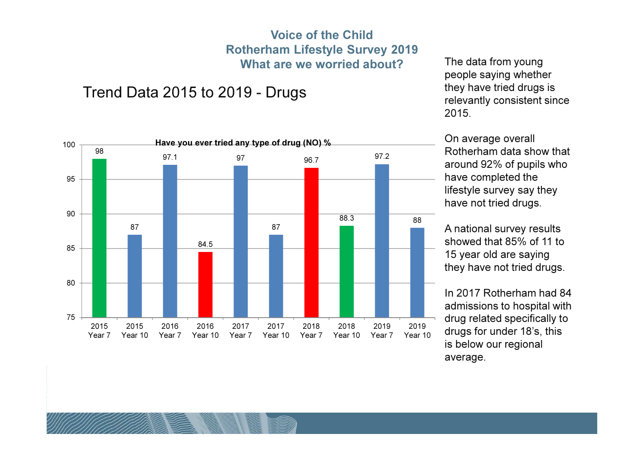### Trend Data 2015 to 2019 - Drugs



The data from young people saying whether they have tried drugs is relevantly consistent since 2015.

On average overall Rotherham data show that around 92% of pupils who have completed the lifestyle survey say they have not tried drugs.

A national survey results showed that 85% of 11 to 15 year old are saying they have not tried drugs.

In 2017 Rotherham had 84 admissions to hospital with drug related specifically to drugs for under 18's, this is below our regional average.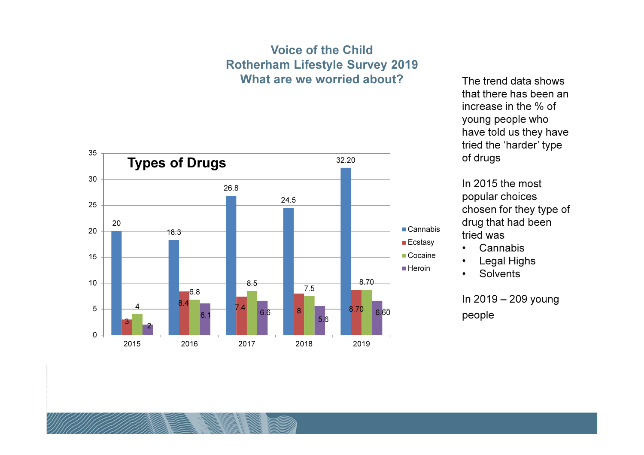

The trend data shows that there has been an increase in the % of young people who have told us they have tried the 'harder' type of drugs

In 2015 the most popular choices chosen for they type of drug that had been tried was

- Cannabis
- Legal Highs•
- •**Solvents**

In 2019 – 209 young people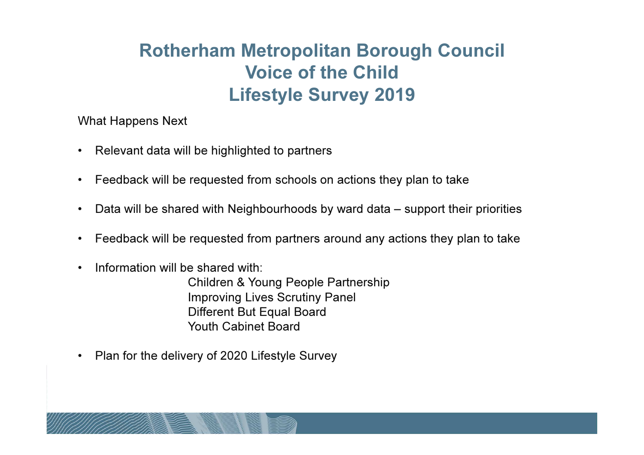What Happens Next

- $\bullet$ Relevant data will be highlighted to partners
- $\bullet$ Feedback will be requested from schools on actions they plan to take
- •Data will be shared with Neighbourhoods by ward data – support their priorities
- $\bullet$ Feedback will be requested from partners around any actions they plan to take
- •Information will be shared with:

Children & Young People PartnershipImproving Lives Scrutiny PanelDifferent But Equal BoardYouth Cabinet Board

 $\bullet$ Plan for the delivery of 2020 Lifestyle Survey